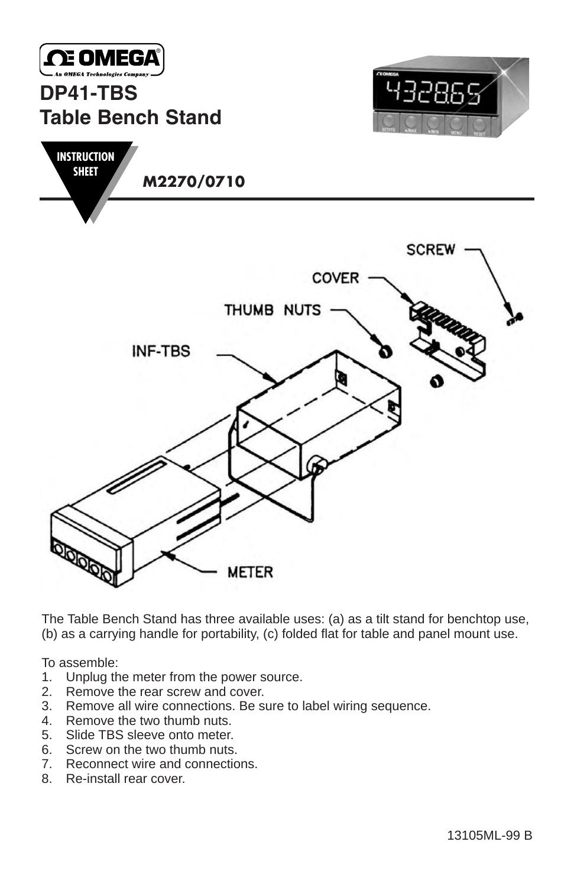

**SHEET**

## **DP41-TBS Table Bench Stand**



**M2270/0710 INSTRUCTION**



The Table Bench Stand has three available uses: (a) as a tilt stand for benchtop use, (b) as a carrying handle for portability, (c) folded flat for table and panel mount use.

To assemble:

- 1. Unplug the meter from the power source.<br>2. Remove the rear screw and cover.
- 2. Remove the rear screw and cover.<br>3. Remove all wire connections. Be s
- 3. Remove all wire connections. Be sure to label wiring sequence.
- 4. Remove the two thumb nuts.<br>5. Slide TBS sleeve onto meter.
- 5. Slide TBS sleeve onto meter.<br>6. Screw on the two thumb nuts
- Screw on the two thumb nuts.
- 7. Reconnect wire and connections.
- 8. Re-install rear cover.